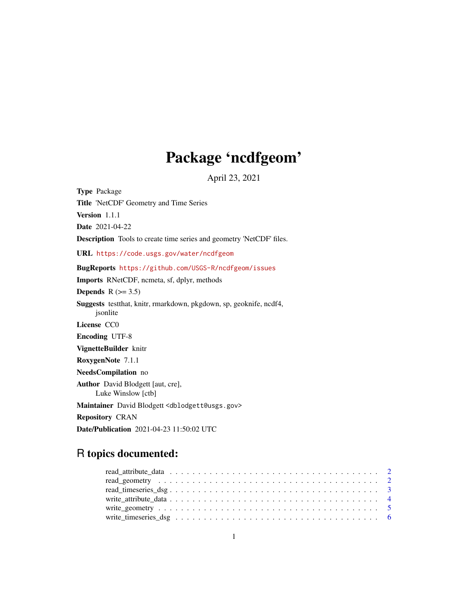## Package 'ncdfgeom'

April 23, 2021

Type Package Title 'NetCDF' Geometry and Time Series Version 1.1.1 Date 2021-04-22 Description Tools to create time series and geometry 'NetCDF' files. URL <https://code.usgs.gov/water/ncdfgeom> BugReports <https://github.com/USGS-R/ncdfgeom/issues> Imports RNetCDF, ncmeta, sf, dplyr, methods Depends  $R$  ( $>= 3.5$ ) Suggests testthat, knitr, rmarkdown, pkgdown, sp, geoknife, ncdf4, jsonlite License CC0 Encoding UTF-8 VignetteBuilder knitr RoxygenNote 7.1.1 NeedsCompilation no Author David Blodgett [aut, cre], Luke Winslow [ctb] Maintainer David Blodgett <dblodgett@usgs.gov> Repository CRAN Date/Publication 2021-04-23 11:50:02 UTC

### R topics documented: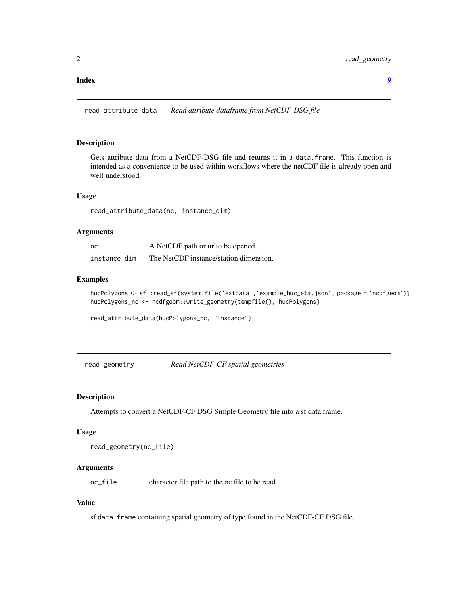#### <span id="page-1-0"></span>**Index** [9](#page-8-0)

read\_attribute\_data *Read attribute dataframe from NetCDF-DSG file*

#### Description

Gets attribute data from a NetCDF-DSG file and returns it in a data.frame. This function is intended as a convenience to be used within workflows where the netCDF file is already open and well understood.

#### Usage

read\_attribute\_data(nc, instance\_dim)

#### Arguments

| nc           | A NetCDF path or urlto be opened.      |
|--------------|----------------------------------------|
| instance dim | The NetCDF instance/station dimension. |

#### Examples

```
hucPolygons <- sf::read_sf(system.file('extdata','example_huc_eta.json', package = 'ncdfgeom'))
hucPolygons_nc <- ncdfgeom::write_geometry(tempfile(), hucPolygons)
```
read\_attribute\_data(hucPolygons\_nc, "instance")

read\_geometry *Read NetCDF-CF spatial geometries*

#### Description

Attempts to convert a NetCDF-CF DSG Simple Geometry file into a sf data.frame.

#### Usage

```
read_geometry(nc_file)
```
#### **Arguments**

nc\_file character file path to the nc file to be read.

#### Value

sf data. frame containing spatial geometry of type found in the NetCDF-CF DSG file.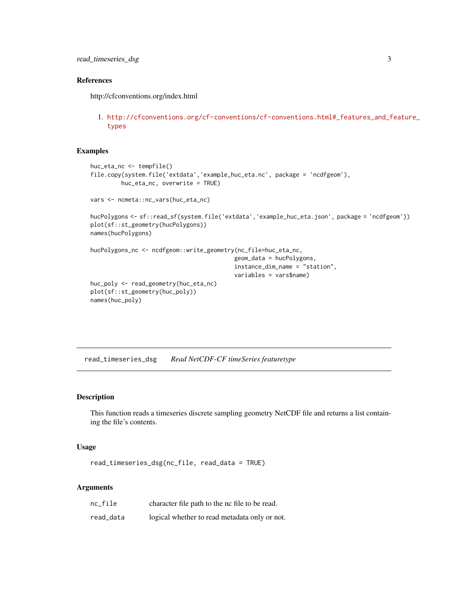#### <span id="page-2-0"></span>References

http://cfconventions.org/index.html

1. [http://cfconventions.org/cf-conventions/cf-conventions.html#\\_features\\_and\\_f](http://cfconventions.org/cf-conventions/cf-conventions.html#_features_and_feature_types)eature\_ [types](http://cfconventions.org/cf-conventions/cf-conventions.html#_features_and_feature_types)

#### Examples

```
huc_eta_nc <- tempfile()
file.copy(system.file('extdata','example_huc_eta.nc', package = 'ncdfgeom'),
        huc_eta_nc, overwrite = TRUE)
vars <- ncmeta::nc_vars(huc_eta_nc)
hucPolygons <- sf::read_sf(system.file('extdata','example_huc_eta.json', package = 'ncdfgeom'))
plot(sf::st_geometry(hucPolygons))
names(hucPolygons)
hucPolygons_nc <- ncdfgeom::write_geometry(nc_file=huc_eta_nc,
                                          geom_data = hucPolygons,
                                          instance_dim_name = "station",
                                          variables = vars$name)
huc_poly <- read_geometry(huc_eta_nc)
plot(sf::st_geometry(huc_poly))
names(huc_poly)
```
read\_timeseries\_dsg *Read NetCDF-CF timeSeries featuretype*

#### Description

This function reads a timeseries discrete sampling geometry NetCDF file and returns a list containing the file's contents.

#### Usage

```
read_timeseries_dsg(nc_file, read_data = TRUE)
```
#### **Arguments**

| $nc$ file | character file path to the nc file to be read. |
|-----------|------------------------------------------------|
| read_data | logical whether to read metadata only or not.  |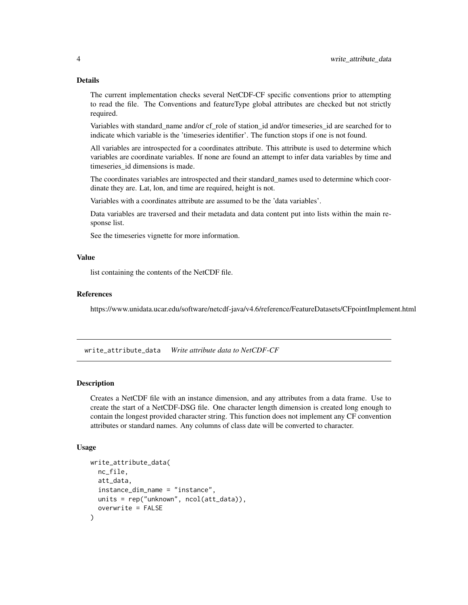#### Details

The current implementation checks several NetCDF-CF specific conventions prior to attempting to read the file. The Conventions and featureType global attributes are checked but not strictly required.

Variables with standard\_name and/or cf\_role of station\_id and/or timeseries\_id are searched for to indicate which variable is the 'timeseries identifier'. The function stops if one is not found.

All variables are introspected for a coordinates attribute. This attribute is used to determine which variables are coordinate variables. If none are found an attempt to infer data variables by time and timeseries\_id dimensions is made.

The coordinates variables are introspected and their standard\_names used to determine which coordinate they are. Lat, lon, and time are required, height is not.

Variables with a coordinates attribute are assumed to be the 'data variables'.

Data variables are traversed and their metadata and data content put into lists within the main response list.

See the timeseries vignette for more information.

#### Value

list containing the contents of the NetCDF file.

#### References

https://www.unidata.ucar.edu/software/netcdf-java/v4.6/reference/FeatureDatasets/CFpointImplement.html

write\_attribute\_data *Write attribute data to NetCDF-CF*

#### Description

Creates a NetCDF file with an instance dimension, and any attributes from a data frame. Use to create the start of a NetCDF-DSG file. One character length dimension is created long enough to contain the longest provided character string. This function does not implement any CF convention attributes or standard names. Any columns of class date will be converted to character.

#### Usage

```
write_attribute_data(
 nc_file,
  att_data,
  instance_dim_name = "instance",
  units = rep("unknown", ncol(att_data)),
  overwrite = FALSE
)
```
<span id="page-3-0"></span>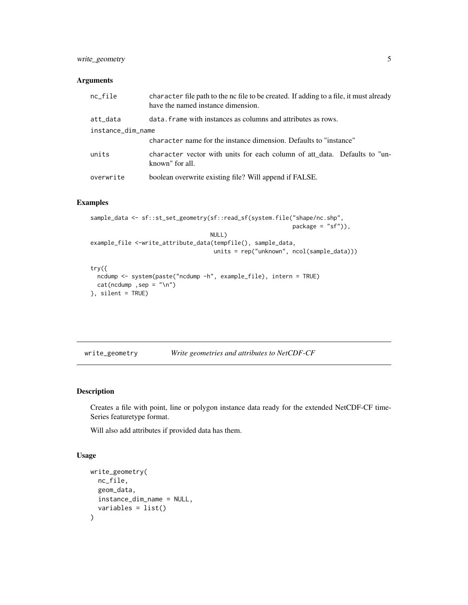#### <span id="page-4-0"></span>write\_geometry 5

#### Arguments

| $nc$ -file        | character file path to the nc file to be created. If adding to a file, it must already<br>have the named instance dimension. |
|-------------------|------------------------------------------------------------------------------------------------------------------------------|
| att_data          | data. Frame with instances as columns and attributes as rows.                                                                |
| instance_dim_name |                                                                                                                              |
|                   | character name for the instance dimension. Defaults to "instance"                                                            |
| units             | character vector with units for each column of att_data. Defaults to "un-<br>known" for all.                                 |
| overwrite         | boolean overwrite existing file? Will append if FALSE.                                                                       |

#### Examples

```
sample_data <- sf::st_set_geometry(sf::read_sf(system.file("shape/nc.shp",
                                                           package = "sf")),
                                   NULL)
example_file <-write_attribute_data(tempfile(), sample_data,
                                    units = rep("unknown", ncol(sample_data)))
try({
 ncdump <- system(paste("ncdump -h", example_file), intern = TRUE)
 cat(ncdump ,sep = "\n")
}, silent = TRUE)
```
write\_geometry *Write geometries and attributes to NetCDF-CF*

#### Description

Creates a file with point, line or polygon instance data ready for the extended NetCDF-CF time-Series featuretype format.

Will also add attributes if provided data has them.

#### Usage

```
write_geometry(
 nc_file,
 geom_data,
  instance_dim_name = NULL,
  variables = list()
)
```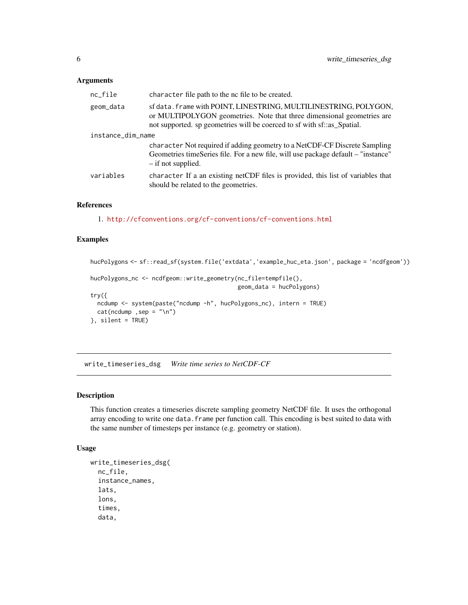#### <span id="page-5-0"></span>Arguments

| $nc$ -file        | character file path to the nc file to be created.                                                                                                                                                                     |  |
|-------------------|-----------------------------------------------------------------------------------------------------------------------------------------------------------------------------------------------------------------------|--|
| geom_data         | sf data. frame with POINT, LINESTRING, MULTILINESTRING, POLYGON,<br>or MULTIPOLYGON geometries. Note that three dimensional geometries are<br>not supported. sp geometries will be coerced to sf with sf::as_Spatial. |  |
| instance_dim_name |                                                                                                                                                                                                                       |  |
|                   | character Not required if adding geometry to a NetCDF-CF Discrete Sampling<br>Geometries timeSeries file. For a new file, will use package default – "instance"<br>- if not supplied.                                 |  |
| variables         | character If a an existing netCDF files is provided, this list of variables that<br>should be related to the geometries.                                                                                              |  |

#### References

1. <http://cfconventions.org/cf-conventions/cf-conventions.html>

#### Examples

hucPolygons <- sf::read\_sf(system.file('extdata','example\_huc\_eta.json', package = 'ncdfgeom')) hucPolygons\_nc <- ncdfgeom::write\_geometry(nc\_file=tempfile(), geom\_data = hucPolygons) try({ ncdump <- system(paste("ncdump -h", hucPolygons\_nc), intern = TRUE)  $cat(ncdump,sep = "\\n")$ }, silent = TRUE)

write\_timeseries\_dsg *Write time series to NetCDF-CF*

#### Description

This function creates a timeseries discrete sampling geometry NetCDF file. It uses the orthogonal array encoding to write one data. frame per function call. This encoding is best suited to data with the same number of timesteps per instance (e.g. geometry or station).

#### Usage

```
write_timeseries_dsg(
  nc_file,
  instance_names,
  lats,
  lons,
  times,
  data,
```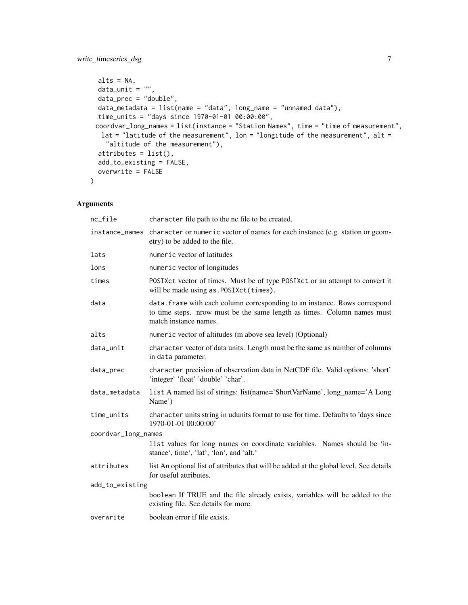```
alts = NA,
 data\_unit = "",data_prec = "double",
 data_metadata = list(name = "data", long_name = "unnamed data"),
  time_units = "days since 1970-01-01 00:00:00",
 coordvar_long_names = list(instance = "Station Names", time = "time of measurement",
  lat = "latitude of the measurement", lon = "longitude of the measurement", alt =
    "altitude of the measurement"),
 attributes = list(),
 add_to_existing = FALSE,
 overwrite = FALSE
\mathcal{L}
```
#### Arguments

| nc_file             | character file path to the nc file to be created.                                                                                                                              |  |
|---------------------|--------------------------------------------------------------------------------------------------------------------------------------------------------------------------------|--|
| instance_names      | character or numeric vector of names for each instance (e.g. station or geom-<br>etry) to be added to the file.                                                                |  |
| lats                | numeric vector of latitudes                                                                                                                                                    |  |
| lons                | numeric vector of longitudes                                                                                                                                                   |  |
| times               | POSIXct vector of times. Must be of type POSIXct or an attempt to convert it<br>will be made using as. POSIXct(times).                                                         |  |
| data                | data. frame with each column corresponding to an instance. Rows correspond<br>to time steps. nrow must be the same length as times. Column names must<br>match instance names. |  |
| alts                | numeric vector of altitudes (m above sea level) (Optional)                                                                                                                     |  |
| data_unit           | character vector of data units. Length must be the same as number of columns<br>in data parameter.                                                                             |  |
| data_prec           | character precision of observation data in NetCDF file. Valid options: 'short'<br>'integer' 'float' 'double' 'char'.                                                           |  |
| data_metadata       | list A named list of strings: list(name='ShortVarName', long_name='A Long<br>Name')                                                                                            |  |
| time_units          | character units string in udunits format to use for time. Defaults to 'days since<br>1970-01-01 00:00:00'                                                                      |  |
| coordvar_long_names |                                                                                                                                                                                |  |
|                     | list values for long names on coordinate variables. Names should be 'in-<br>stance', time', 'lat', 'lon', and 'alt.'                                                           |  |
| attributes          | list An optional list of attributes that will be added at the global level. See details<br>for useful attributes.                                                              |  |
| add_to_existing     |                                                                                                                                                                                |  |
|                     | boolean If TRUE and the file already exists, variables will be added to the<br>existing file. See details for more.                                                            |  |
| overwrite           | boolean error if file exists.                                                                                                                                                  |  |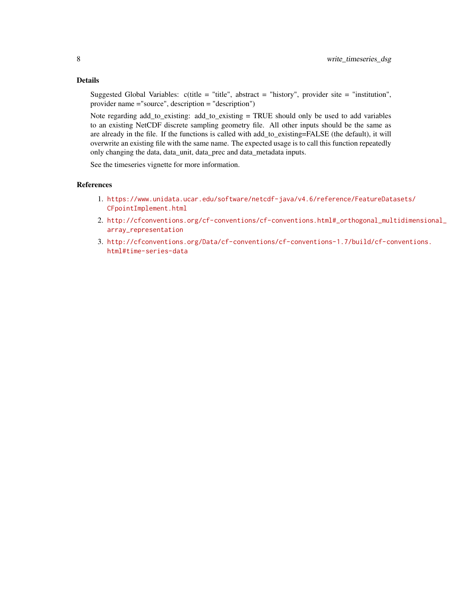#### Details

Suggested Global Variables:  $c$ (title = "title", abstract = "history", provider site = "institution", provider name ="source", description = "description")

Note regarding add\_to\_existing: add\_to\_existing = TRUE should only be used to add variables to an existing NetCDF discrete sampling geometry file. All other inputs should be the same as are already in the file. If the functions is called with add\_to\_existing=FALSE (the default), it will overwrite an existing file with the same name. The expected usage is to call this function repeatedly only changing the data, data\_unit, data\_prec and data\_metadata inputs.

See the timeseries vignette for more information.

#### References

- 1. [https://www.unidata.ucar.edu/software/netcdf-java/v4.6/reference/FeatureDat](https://www.unidata.ucar.edu/software/netcdf-java/v4.6/reference/FeatureDatasets/CFpointImplement.html)asets/ [CFpointImplement.html](https://www.unidata.ucar.edu/software/netcdf-java/v4.6/reference/FeatureDatasets/CFpointImplement.html)
- 2. [http://cfconventions.org/cf-conventions/cf-conventions.html#\\_orthogonal\\_mul](http://cfconventions.org/cf-conventions/cf-conventions.html#_orthogonal_multidimensional_array_representation)tidimensional\_ [array\\_representation](http://cfconventions.org/cf-conventions/cf-conventions.html#_orthogonal_multidimensional_array_representation)
- 3. [http://cfconventions.org/Data/cf-conventions/cf-conventions-1.7/build/cf-co](http://cfconventions.org/Data/cf-conventions/cf-conventions-1.7/build/cf-conventions.html#time-series-data)nventions. [html#time-series-data](http://cfconventions.org/Data/cf-conventions/cf-conventions-1.7/build/cf-conventions.html#time-series-data)